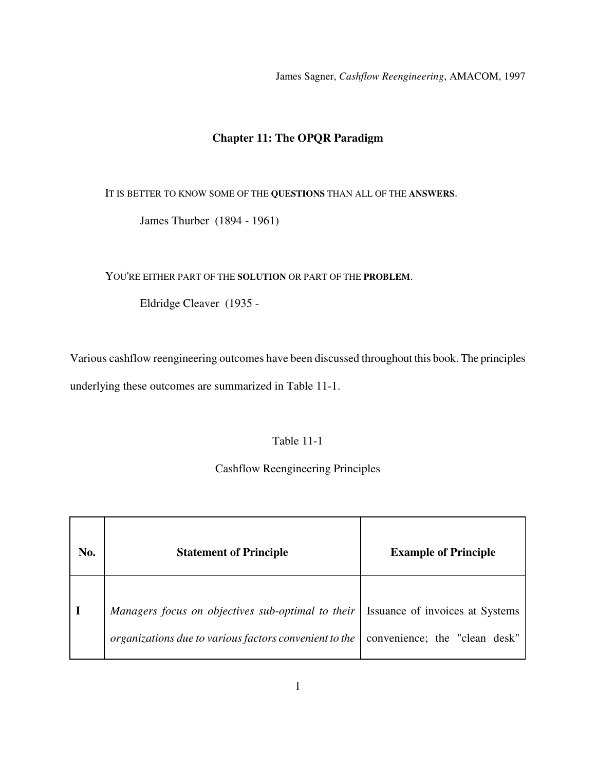James Sagner, *Cashflow Reengineering*, AMACOM, 1997

# **Chapter 11: The OPQR Paradigm**

IT IS BETTER TO KNOW SOME OF THE **QUESTIONS** THAN ALL OF THE **ANSWERS**.

James Thurber (1894 - 1961)

YOU'RE EITHER PART OF THE **SOLUTION** OR PART OF THE **PROBLEM**.

Eldridge Cleaver (1935 -

Various cashflow reengineering outcomes have been discussed throughout this book. The principles underlying these outcomes are summarized in Table 11-1.

## Table 11-1

## Cashflow Reengineering Principles

| No. | <b>Statement of Principle</b>                                                                                                                 | <b>Example of Principle</b>   |
|-----|-----------------------------------------------------------------------------------------------------------------------------------------------|-------------------------------|
|     | Managers focus on objectives sub-optimal to their   Issuance of invoices at Systems<br>organizations due to various factors convenient to the | convenience; the "clean desk" |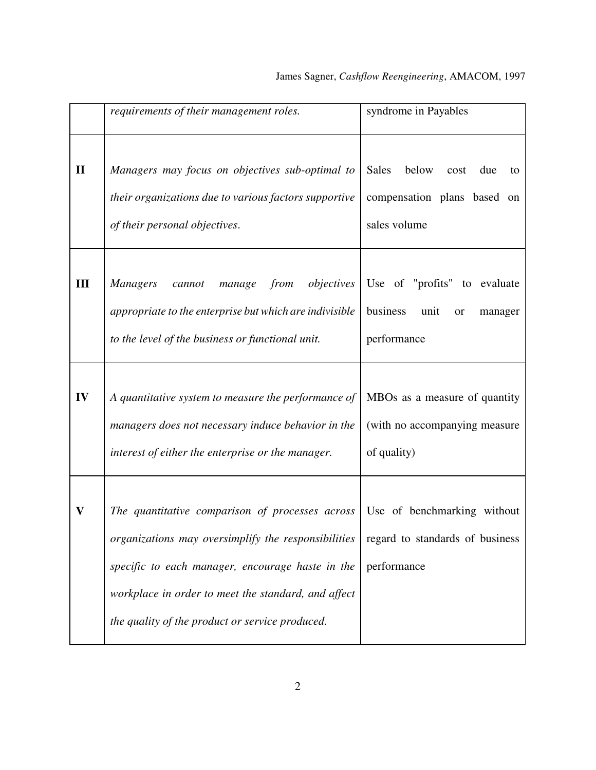|              | requirements of their management roles.                                                                                                                                                                                                                              | syndrome in Payables                                                                      |
|--------------|----------------------------------------------------------------------------------------------------------------------------------------------------------------------------------------------------------------------------------------------------------------------|-------------------------------------------------------------------------------------------|
| $\mathbf{I}$ | Managers may focus on objectives sub-optimal to<br>their organizations due to various factors supportive<br>of their personal objectives.                                                                                                                            | <b>Sales</b><br>below<br>cost<br>due<br>to<br>compensation plans based on<br>sales volume |
| Ш            | objectives<br>from<br><b>Managers</b><br>cannot<br>manage<br>appropriate to the enterprise but which are indivisible<br>to the level of the business or functional unit.                                                                                             | Use of "profits" to evaluate<br>business<br>unit<br>or<br>manager<br>performance          |
| IV           | A quantitative system to measure the performance of<br>managers does not necessary induce behavior in the<br>interest of either the enterprise or the manager.                                                                                                       | MBOs as a measure of quantity<br>(with no accompanying measure<br>of quality)             |
| V            | The quantitative comparison of processes across<br>organizations may oversimplify the responsibilities<br>specific to each manager, encourage haste in the<br>workplace in order to meet the standard, and affect<br>the quality of the product or service produced. | Use of benchmarking without<br>regard to standards of business<br>performance             |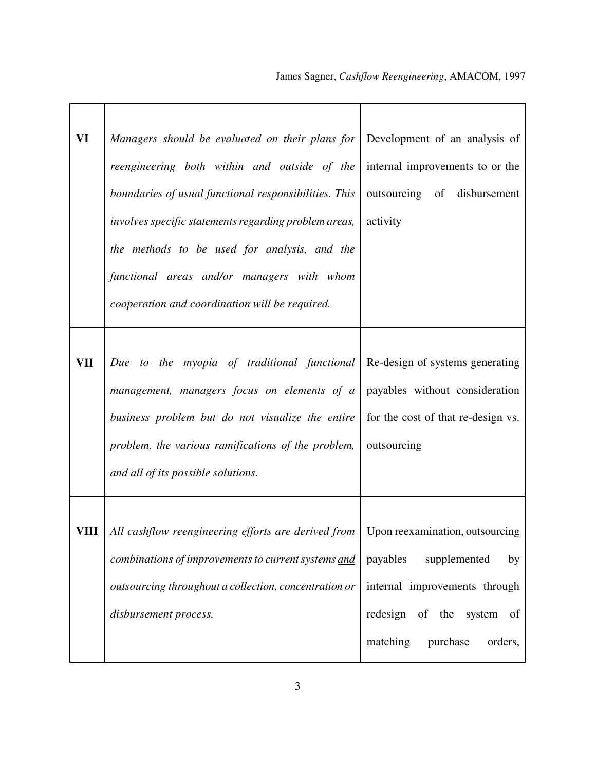| VI   | Managers should be evaluated on their plans for<br>reengineering both within and outside of the<br>boundaries of usual functional responsibilities. This<br>involves specific statements regarding problem areas,<br>the methods to be used for analysis, and the<br>functional areas and/or managers with whom<br>cooperation and coordination will be required. | Development of an analysis of<br>internal improvements to or the<br>outsourcing of disbursement<br>activity                                                           |
|------|-------------------------------------------------------------------------------------------------------------------------------------------------------------------------------------------------------------------------------------------------------------------------------------------------------------------------------------------------------------------|-----------------------------------------------------------------------------------------------------------------------------------------------------------------------|
| VII  | Due to the myopia of traditional functional<br>management, managers focus on elements of a<br>business problem but do not visualize the entire<br>problem, the various ramifications of the problem,<br>and all of its possible solutions.                                                                                                                        | Re-design of systems generating<br>payables without consideration<br>for the cost of that re-design vs.<br>outsourcing                                                |
| VIII | All cashflow reengineering efforts are derived from<br>combinations of improvements to current systems and<br>outsourcing throughout a collection, concentration or<br>disbursement process.                                                                                                                                                                      | Upon reexamination, outsourcing<br>payables<br>supplemented<br>by<br>internal improvements through<br>redesign of the system<br>of<br>matching<br>purchase<br>orders, |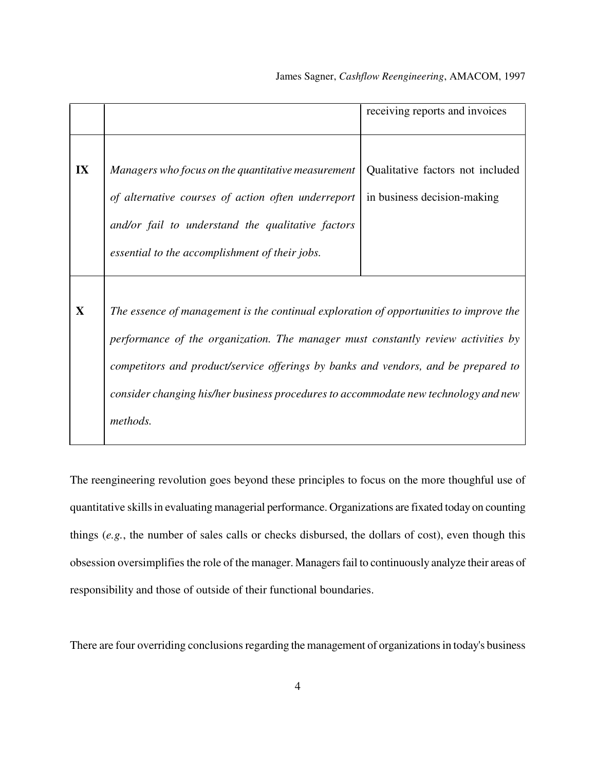|              |                                                                                        | receiving reports and invoices   |
|--------------|----------------------------------------------------------------------------------------|----------------------------------|
|              |                                                                                        |                                  |
|              |                                                                                        |                                  |
| IX           | Managers who focus on the quantitative measurement                                     | Qualitative factors not included |
|              | of alternative courses of action often underreport                                     | in business decision-making      |
|              | and/or fail to understand the qualitative factors                                      |                                  |
|              | essential to the accomplishment of their jobs.                                         |                                  |
|              |                                                                                        |                                  |
| $\mathbf{X}$ | The essence of management is the continual exploration of opportunities to improve the |                                  |
|              | performance of the organization. The manager must constantly review activities by      |                                  |
|              | competitors and product/service offerings by banks and vendors, and be prepared to     |                                  |
|              | consider changing his/her business procedures to accommodate new technology and new    |                                  |
|              | methods.                                                                               |                                  |

The reengineering revolution goes beyond these principles to focus on the more thoughful use of quantitative skills in evaluating managerial performance. Organizations are fixated today on counting things (*e.g.*, the number of sales calls or checks disbursed, the dollars of cost), even though this obsession oversimplifies the role of the manager. Managers fail to continuously analyze their areas of responsibility and those of outside of their functional boundaries.

There are four overriding conclusions regarding the management of organizations in today's business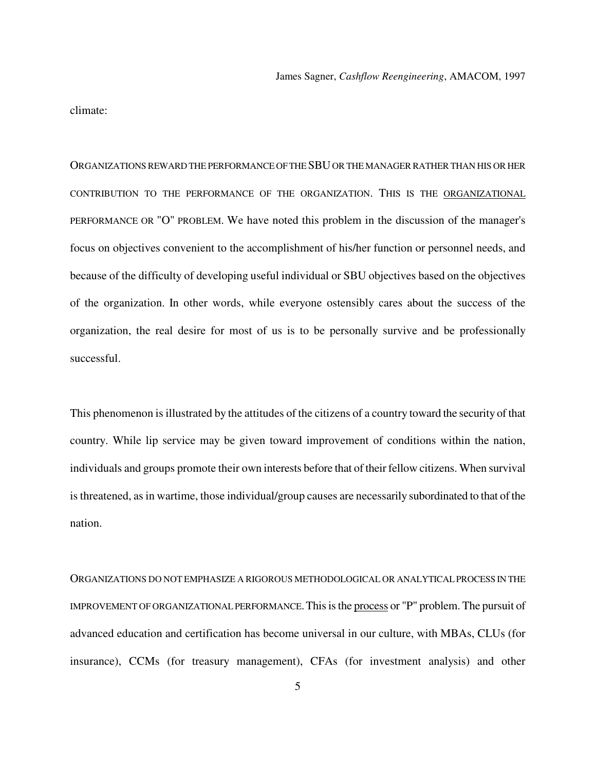climate:

ORGANIZATIONS REWARD THE PERFORMANCE OF THE SBU OR THE MANAGER RATHER THAN HIS OR HER CONTRIBUTION TO THE PERFORMANCE OF THE ORGANIZATION. THIS IS THE ORGANIZATIONAL PERFORMANCE OR "O" PROBLEM. We have noted this problem in the discussion of the manager's focus on objectives convenient to the accomplishment of his/her function or personnel needs, and because of the difficulty of developing useful individual or SBU objectives based on the objectives of the organization. In other words, while everyone ostensibly cares about the success of the organization, the real desire for most of us is to be personally survive and be professionally successful.

This phenomenon is illustrated by the attitudes of the citizens of a country toward the security of that country. While lip service may be given toward improvement of conditions within the nation, individuals and groups promote their own interests before that of their fellow citizens. When survival is threatened, as in wartime, those individual/group causes are necessarily subordinated to that of the nation.

ORGANIZATIONS DO NOT EMPHASIZE A RIGOROUS METHODOLOGICAL OR ANALYTICAL PROCESS IN THE IMPROVEMENT OF ORGANIZATIONAL PERFORMANCE.This is the process or "P" problem. The pursuit of advanced education and certification has become universal in our culture, with MBAs, CLUs (for insurance), CCMs (for treasury management), CFAs (for investment analysis) and other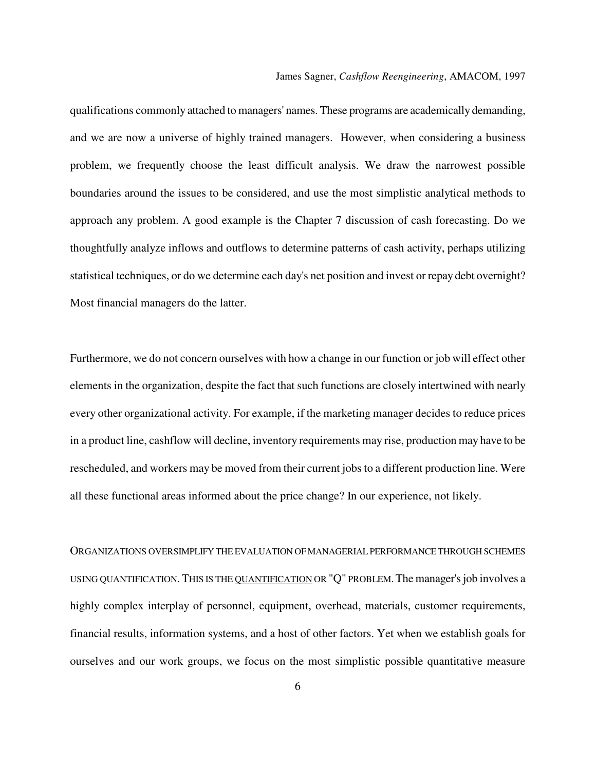qualifications commonly attached to managers' names. These programs are academically demanding, and we are now a universe of highly trained managers. However, when considering a business problem, we frequently choose the least difficult analysis. We draw the narrowest possible boundaries around the issues to be considered, and use the most simplistic analytical methods to approach any problem. A good example is the Chapter 7 discussion of cash forecasting. Do we thoughtfully analyze inflows and outflows to determine patterns of cash activity, perhaps utilizing statistical techniques, or do we determine each day's net position and invest or repay debt overnight? Most financial managers do the latter.

Furthermore, we do not concern ourselves with how a change in our function or job will effect other elements in the organization, despite the fact that such functions are closely intertwined with nearly every other organizational activity. For example, if the marketing manager decides to reduce prices in a product line, cashflow will decline, inventory requirements may rise, production may have to be rescheduled, and workers may be moved from their current jobs to a different production line. Were all these functional areas informed about the price change? In our experience, not likely.

ORGANIZATIONS OVERSIMPLIFY THE EVALUATION OF MANAGERIAL PERFORMANCE THROUGH SCHEMES USING QUANTIFICATION.THIS IS THE QUANTIFICATION OR "Q" PROBLEM.The manager's job involves a highly complex interplay of personnel, equipment, overhead, materials, customer requirements, financial results, information systems, and a host of other factors. Yet when we establish goals for ourselves and our work groups, we focus on the most simplistic possible quantitative measure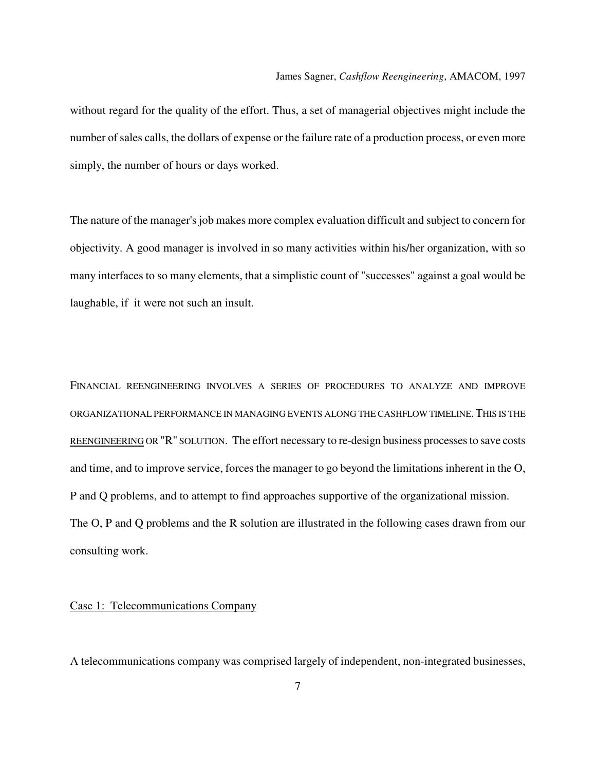without regard for the quality of the effort. Thus, a set of managerial objectives might include the number of sales calls, the dollars of expense or the failure rate of a production process, or even more simply, the number of hours or days worked.

The nature of the manager's job makes more complex evaluation difficult and subject to concern for objectivity. A good manager is involved in so many activities within his/her organization, with so many interfaces to so many elements, that a simplistic count of "successes" against a goal would be laughable, if it were not such an insult.

FINANCIAL REENGINEERING INVOLVES A SERIES OF PROCEDURES TO ANALYZE AND IMPROVE ORGANIZATIONAL PERFORMANCE IN MANAGING EVENTS ALONG THE CASHFLOW TIMELINE.THIS IS THE REENGINEERING OR "R" SOLUTION. The effort necessary to re-design business processes to save costs and time, and to improve service, forces the manager to go beyond the limitations inherent in the O, P and Q problems, and to attempt to find approaches supportive of the organizational mission. The O, P and Q problems and the R solution are illustrated in the following cases drawn from our consulting work.

### Case 1: Telecommunications Company

A telecommunications company was comprised largely of independent, non-integrated businesses,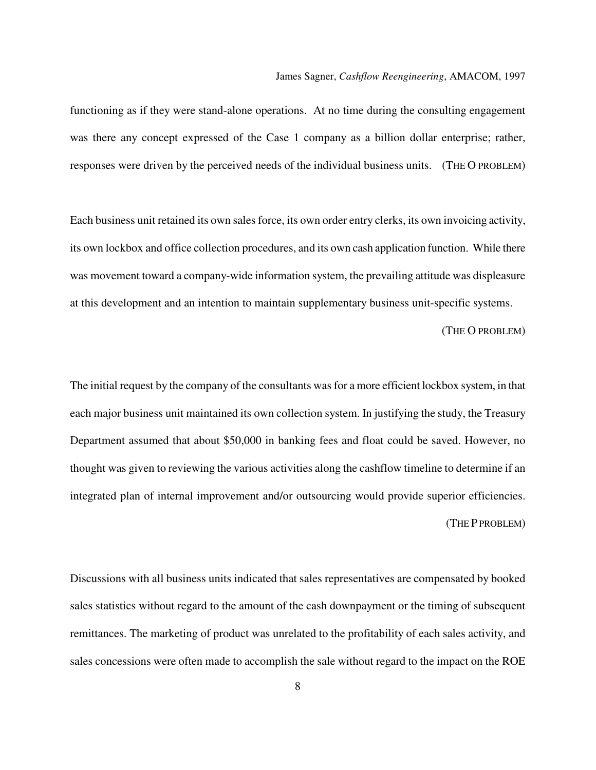functioning as if they were stand-alone operations. At no time during the consulting engagement was there any concept expressed of the Case 1 company as a billion dollar enterprise; rather, responses were driven by the perceived needs of the individual business units. (THE O PROBLEM)

Each business unit retained its own sales force, its own order entry clerks, its own invoicing activity, its own lockbox and office collection procedures, and its own cash application function. While there was movement toward a company-wide information system, the prevailing attitude was displeasure at this development and an intention to maintain supplementary business unit-specific systems.

(THE O PROBLEM)

The initial request by the company of the consultants was for a more efficient lockbox system, in that each major business unit maintained its own collection system. In justifying the study, the Treasury Department assumed that about \$50,000 in banking fees and float could be saved. However, no thought was given to reviewing the various activities along the cashflow timeline to determine if an integrated plan of internal improvement and/or outsourcing would provide superior efficiencies. (THE P PROBLEM)

Discussions with all business units indicated that sales representatives are compensated by booked sales statistics without regard to the amount of the cash downpayment or the timing of subsequent remittances. The marketing of product was unrelated to the profitability of each sales activity, and sales concessions were often made to accomplish the sale without regard to the impact on the ROE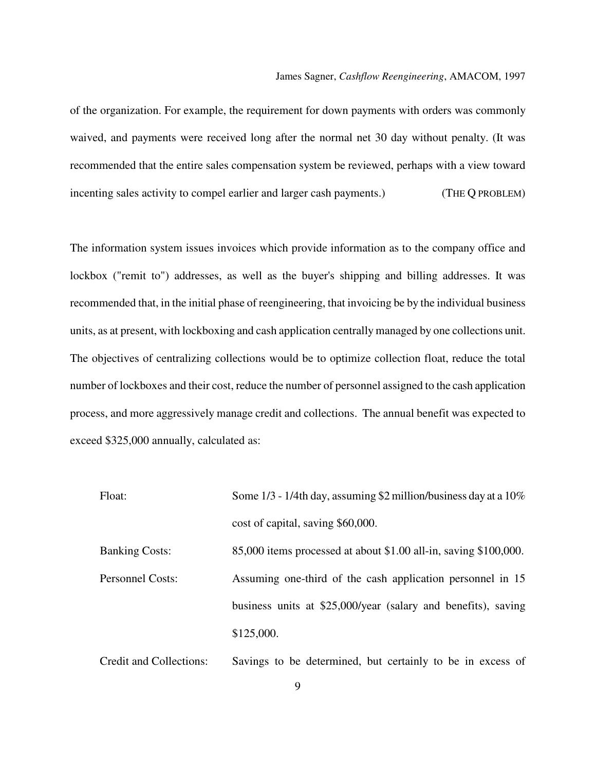of the organization. For example, the requirement for down payments with orders was commonly waived, and payments were received long after the normal net 30 day without penalty. (It was recommended that the entire sales compensation system be reviewed, perhaps with a view toward incenting sales activity to compel earlier and larger cash payments.) (THE Q PROBLEM)

The information system issues invoices which provide information as to the company office and lockbox ("remit to") addresses, as well as the buyer's shipping and billing addresses. It was recommended that, in the initial phase of reengineering, that invoicing be by the individual business units, as at present, with lockboxing and cash application centrally managed by one collections unit. The objectives of centralizing collections would be to optimize collection float, reduce the total number of lockboxes and their cost, reduce the number of personnel assigned to the cash application process, and more aggressively manage credit and collections. The annual benefit was expected to exceed \$325,000 annually, calculated as:

| Float:                  | Some $1/3$ - $1/4$ th day, assuming \$2 million/business day at a $10\%$ |
|-------------------------|--------------------------------------------------------------------------|
|                         | cost of capital, saving \$60,000.                                        |
| <b>Banking Costs:</b>   | $85,000$ items processed at about \$1.00 all-in, saving \$100,000.       |
| <b>Personnel Costs:</b> | Assuming one-third of the cash application personnel in 15               |
|                         | business units at \$25,000/year (salary and benefits), saving            |
|                         | \$125,000.                                                               |
|                         |                                                                          |

Credit and Collections: Savings to be determined, but certainly to be in excess of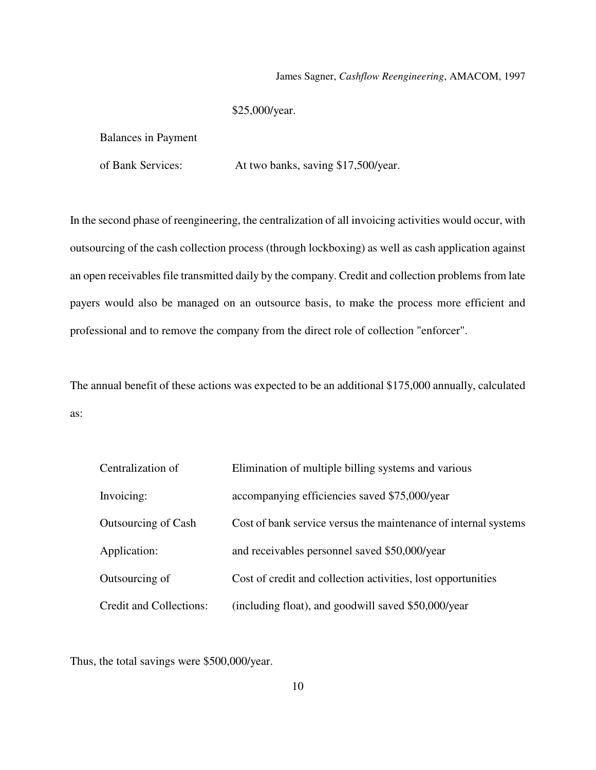### \$25,000/year.

Balances in Payment

of Bank Services: At two banks, saving \$17,500/year.

In the second phase of reengineering, the centralization of all invoicing activities would occur, with outsourcing of the cash collection process (through lockboxing) as well as cash application against an open receivables file transmitted daily by the company. Credit and collection problems from late payers would also be managed on an outsource basis, to make the process more efficient and professional and to remove the company from the direct role of collection "enforcer".

The annual benefit of these actions was expected to be an additional \$175,000 annually, calculated as:

| Centralization of              | Elimination of multiple billing systems and various             |
|--------------------------------|-----------------------------------------------------------------|
| Invoicing:                     | accompanying efficiencies saved \$75,000/year                   |
| Outsourcing of Cash            | Cost of bank service versus the maintenance of internal systems |
| Application:                   | and receivables personnel saved \$50,000/year                   |
| Outsourcing of                 | Cost of credit and collection activities, lost opportunities    |
| <b>Credit and Collections:</b> | (including float), and goodwill saved \$50,000/year             |

Thus, the total savings were \$500,000/year.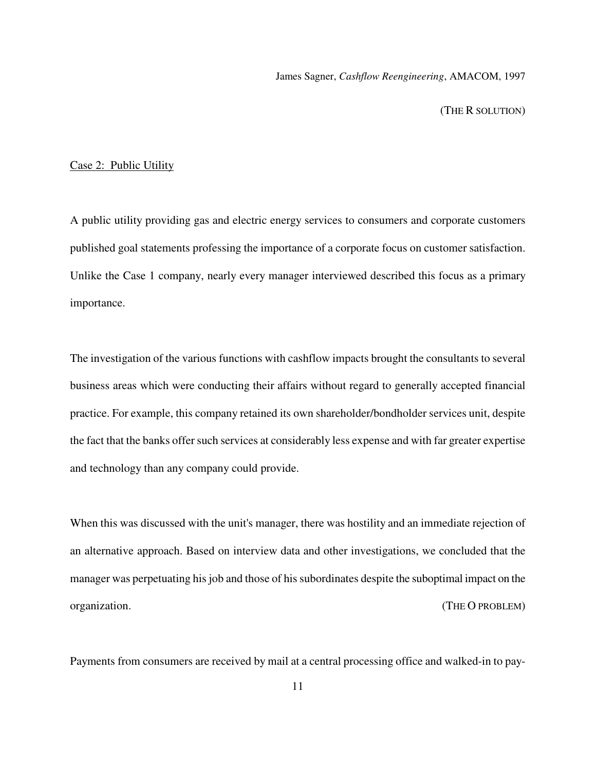(THE R SOLUTION)

### Case 2: Public Utility

A public utility providing gas and electric energy services to consumers and corporate customers published goal statements professing the importance of a corporate focus on customer satisfaction. Unlike the Case 1 company, nearly every manager interviewed described this focus as a primary importance.

The investigation of the various functions with cashflow impacts brought the consultants to several business areas which were conducting their affairs without regard to generally accepted financial practice. For example, this company retained its own shareholder/bondholder services unit, despite the fact that the banks offer such services at considerably less expense and with far greater expertise and technology than any company could provide.

When this was discussed with the unit's manager, there was hostility and an immediate rejection of an alternative approach. Based on interview data and other investigations, we concluded that the manager was perpetuating his job and those of his subordinates despite the suboptimal impact on the organization. (THE O PROBLEM)

Payments from consumers are received by mail at a central processing office and walked-in to pay-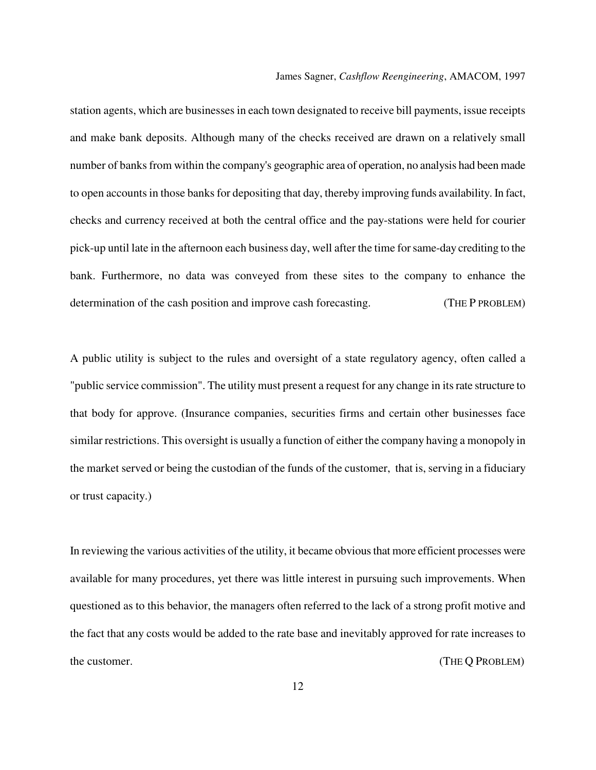station agents, which are businesses in each town designated to receive bill payments, issue receipts and make bank deposits. Although many of the checks received are drawn on a relatively small number of banks from within the company's geographic area of operation, no analysis had been made to open accounts in those banks for depositing that day, thereby improving funds availability. In fact, checks and currency received at both the central office and the pay-stations were held for courier pick-up until late in the afternoon each business day, well after the time for same-day crediting to the bank. Furthermore, no data was conveyed from these sites to the company to enhance the determination of the cash position and improve cash forecasting. (THE P PROBLEM)

A public utility is subject to the rules and oversight of a state regulatory agency, often called a "public service commission". The utility must present a request for any change in its rate structure to that body for approve. (Insurance companies, securities firms and certain other businesses face similar restrictions. This oversight is usually a function of either the company having a monopoly in the market served or being the custodian of the funds of the customer, that is, serving in a fiduciary or trust capacity.)

In reviewing the various activities of the utility, it became obvious that more efficient processes were available for many procedures, yet there was little interest in pursuing such improvements. When questioned as to this behavior, the managers often referred to the lack of a strong profit motive and the fact that any costs would be added to the rate base and inevitably approved for rate increases to the customer. (THE Q PROBLEM)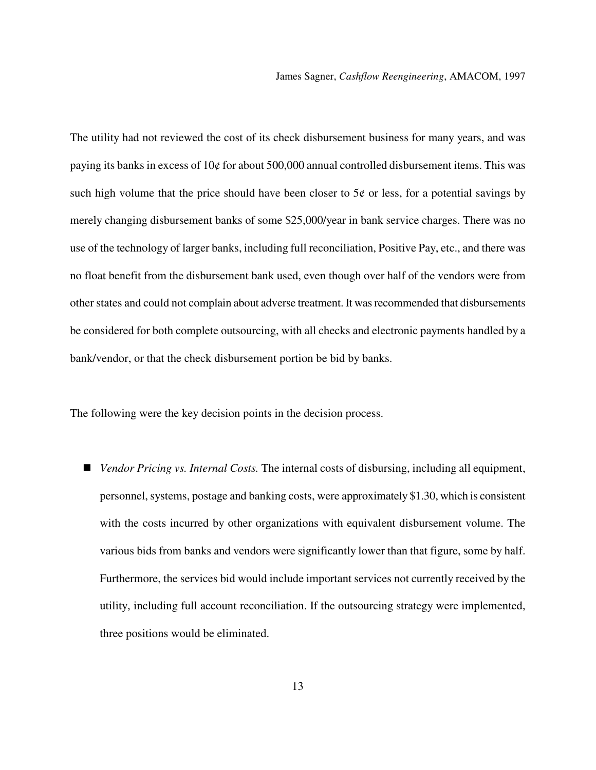The utility had not reviewed the cost of its check disbursement business for many years, and was paying its banks in excess of 10¢ for about 500,000 annual controlled disbursement items. This was such high volume that the price should have been closer to  $5¢$  or less, for a potential savings by merely changing disbursement banks of some \$25,000/year in bank service charges. There was no use of the technology of larger banks, including full reconciliation, Positive Pay, etc., and there was no float benefit from the disbursement bank used, even though over half of the vendors were from other states and could not complain about adverse treatment. It was recommended that disbursements be considered for both complete outsourcing, with all checks and electronic payments handled by a bank/vendor, or that the check disbursement portion be bid by banks.

The following were the key decision points in the decision process.

■ *Vendor Pricing vs. Internal Costs.* The internal costs of disbursing, including all equipment, personnel, systems, postage and banking costs, were approximately \$1.30, which is consistent with the costs incurred by other organizations with equivalent disbursement volume. The various bids from banks and vendors were significantly lower than that figure, some by half. Furthermore, the services bid would include important services not currently received by the utility, including full account reconciliation. If the outsourcing strategy were implemented, three positions would be eliminated.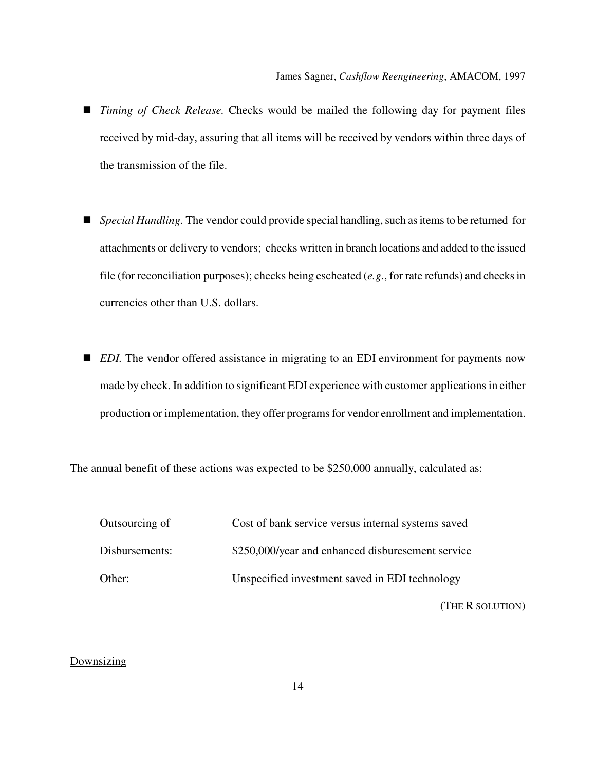- *Timing of Check Release.* Checks would be mailed the following day for payment files received by mid-day, assuring that all items will be received by vendors within three days of the transmission of the file.
- *Special Handling*. The vendor could provide special handling, such as items to be returned for attachments or delivery to vendors; checks written in branch locations and added to the issued file (for reconciliation purposes); checks being escheated (*e.g.*, for rate refunds) and checks in currencies other than U.S. dollars.
- *EDI*. The vendor offered assistance in migrating to an EDI environment for payments now made by check. In addition to significant EDI experience with customer applications in either production or implementation, they offer programs for vendor enrollment and implementation.

The annual benefit of these actions was expected to be \$250,000 annually, calculated as:

| Outsourcing of | Cost of bank service versus internal systems saved |
|----------------|----------------------------------------------------|
| Disbursements: | \$250,000/year and enhanced disburesement service  |
| Other:         | Unspecified investment saved in EDI technology     |

(THE R SOLUTION)

### **Downsizing**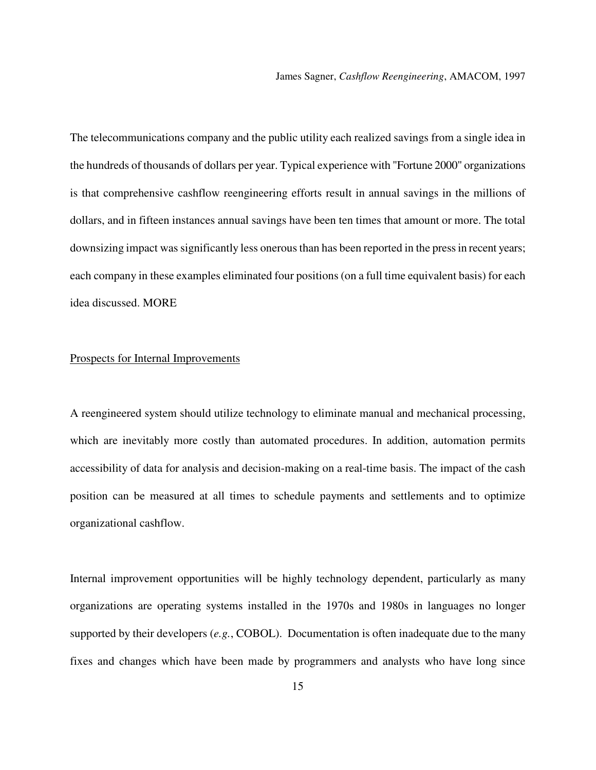The telecommunications company and the public utility each realized savings from a single idea in the hundreds of thousands of dollars per year. Typical experience with "Fortune 2000" organizations is that comprehensive cashflow reengineering efforts result in annual savings in the millions of dollars, and in fifteen instances annual savings have been ten times that amount or more. The total downsizing impact was significantly less onerous than has been reported in the press in recent years; each company in these examples eliminated four positions (on a full time equivalent basis) for each idea discussed. MORE

### Prospects for Internal Improvements

A reengineered system should utilize technology to eliminate manual and mechanical processing, which are inevitably more costly than automated procedures. In addition, automation permits accessibility of data for analysis and decision-making on a real-time basis. The impact of the cash position can be measured at all times to schedule payments and settlements and to optimize organizational cashflow.

Internal improvement opportunities will be highly technology dependent, particularly as many organizations are operating systems installed in the 1970s and 1980s in languages no longer supported by their developers (*e.g.*, COBOL). Documentation is often inadequate due to the many fixes and changes which have been made by programmers and analysts who have long since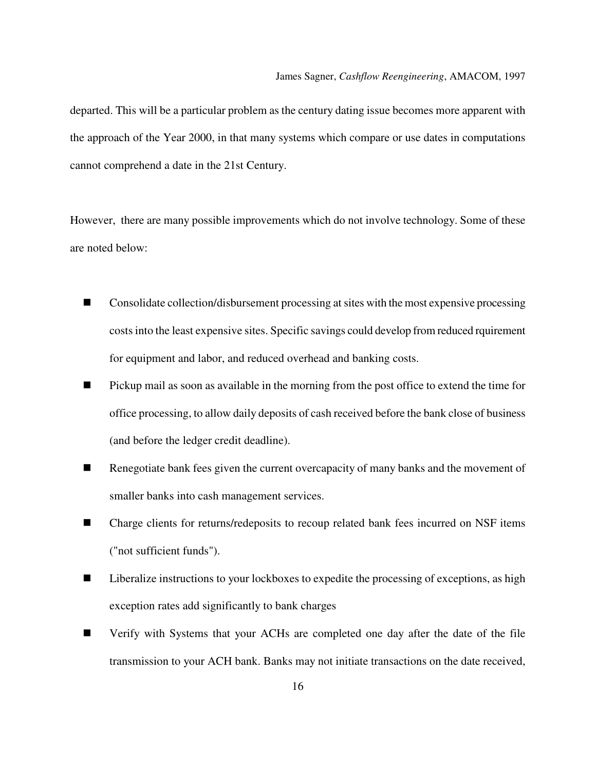departed. This will be a particular problem as the century dating issue becomes more apparent with the approach of the Year 2000, in that many systems which compare or use dates in computations cannot comprehend a date in the 21st Century.

However, there are many possible improvements which do not involve technology. Some of these are noted below:

- Consolidate collection/disbursement processing at sites with the most expensive processing costs into the least expensive sites. Specific savings could develop from reduced rquirement for equipment and labor, and reduced overhead and banking costs.
- **Pickup mail as soon as available in the morning from the post office to extend the time for** office processing, to allow daily deposits of cash received before the bank close of business (and before the ledger credit deadline).
- Renegotiate bank fees given the current overcapacity of many banks and the movement of smaller banks into cash management services.
- Charge clients for returns/redeposits to recoup related bank fees incurred on NSF items ("not sufficient funds").
- Liberalize instructions to your lockboxes to expedite the processing of exceptions, as high exception rates add significantly to bank charges
- Verify with Systems that your ACHs are completed one day after the date of the file transmission to your ACH bank. Banks may not initiate transactions on the date received,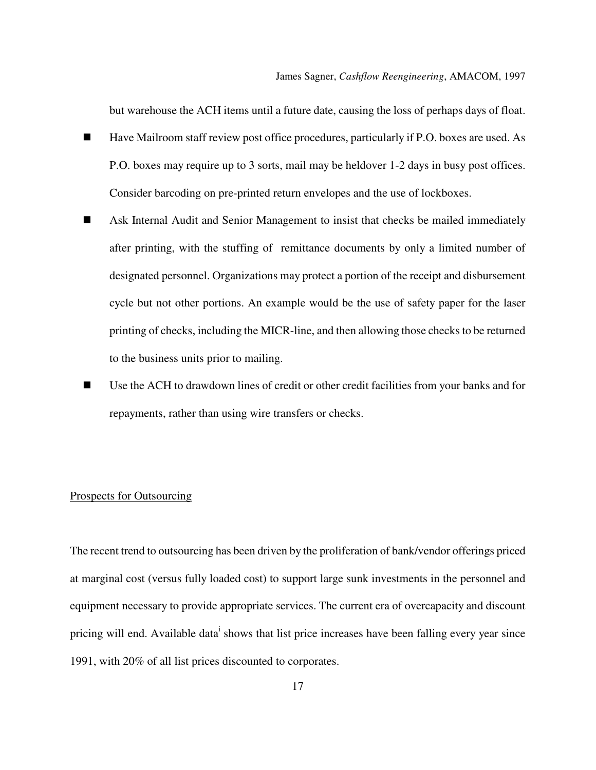but warehouse the ACH items until a future date, causing the loss of perhaps days of float.

- Have Mailroom staff review post office procedures, particularly if P.O. boxes are used. As P.O. boxes may require up to 3 sorts, mail may be heldover 1-2 days in busy post offices. Consider barcoding on pre-printed return envelopes and the use of lockboxes.
- Ask Internal Audit and Senior Management to insist that checks be mailed immediately after printing, with the stuffing of remittance documents by only a limited number of designated personnel. Organizations may protect a portion of the receipt and disbursement cycle but not other portions. An example would be the use of safety paper for the laser printing of checks, including the MICR-line, and then allowing those checks to be returned to the business units prior to mailing.
- Use the ACH to drawdown lines of credit or other credit facilities from your banks and for repayments, rather than using wire transfers or checks.

### Prospects for Outsourcing

The recent trend to outsourcing has been driven by the proliferation of bank/vendor offerings priced at marginal cost (versus fully loaded cost) to support large sunk investments in the personnel and equipment necessary to provide appropriate services. The current era of overcapacity and discount pricing will end. Available data<sup>i</sup> shows that list price increases have been falling every year since 1991, with 20% of all list prices discounted to corporates.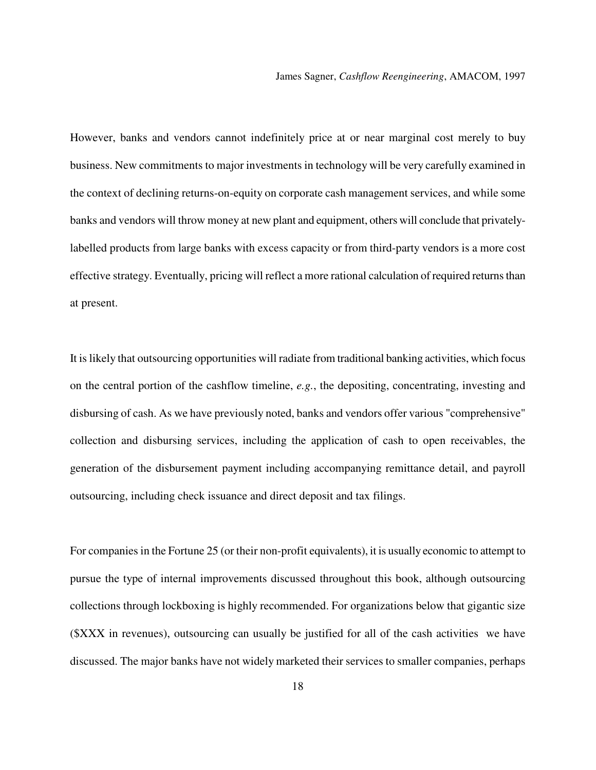However, banks and vendors cannot indefinitely price at or near marginal cost merely to buy business. New commitments to major investments in technology will be very carefully examined in the context of declining returns-on-equity on corporate cash management services, and while some banks and vendors will throw money at new plant and equipment, others will conclude that privatelylabelled products from large banks with excess capacity or from third-party vendors is a more cost effective strategy. Eventually, pricing will reflect a more rational calculation of required returns than at present.

It is likely that outsourcing opportunities will radiate from traditional banking activities, which focus on the central portion of the cashflow timeline, *e.g.*, the depositing, concentrating, investing and disbursing of cash. As we have previously noted, banks and vendors offer various "comprehensive" collection and disbursing services, including the application of cash to open receivables, the generation of the disbursement payment including accompanying remittance detail, and payroll outsourcing, including check issuance and direct deposit and tax filings.

For companies in the Fortune 25 (or their non-profit equivalents), it is usually economic to attempt to pursue the type of internal improvements discussed throughout this book, although outsourcing collections through lockboxing is highly recommended. For organizations below that gigantic size (\$XXX in revenues), outsourcing can usually be justified for all of the cash activities we have discussed. The major banks have not widely marketed their services to smaller companies, perhaps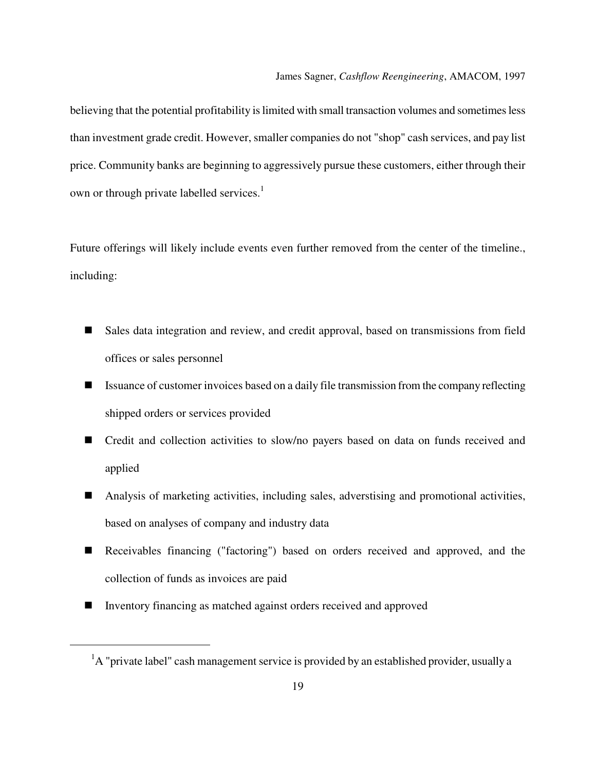believing that the potential profitability is limited with small transaction volumes and sometimes less than investment grade credit. However, smaller companies do not "shop" cash services, and pay list price. Community banks are beginning to aggressively pursue these customers, either through their own or through private labelled services.<sup>1</sup>

Future offerings will likely include events even further removed from the center of the timeline., including:

- Sales data integration and review, and credit approval, based on transmissions from field offices or sales personnel
- Issuance of customer invoices based on a daily file transmission from the company reflecting shipped orders or services provided
- Credit and collection activities to slow/no payers based on data on funds received and applied
- Analysis of marketing activities, including sales, adverstising and promotional activities, based on analyses of company and industry data
- Receivables financing ("factoring") based on orders received and approved, and the collection of funds as invoices are paid
- Inventory financing as matched against orders received and approved

l

 ${}^{1}$ A "private label" cash management service is provided by an established provider, usually a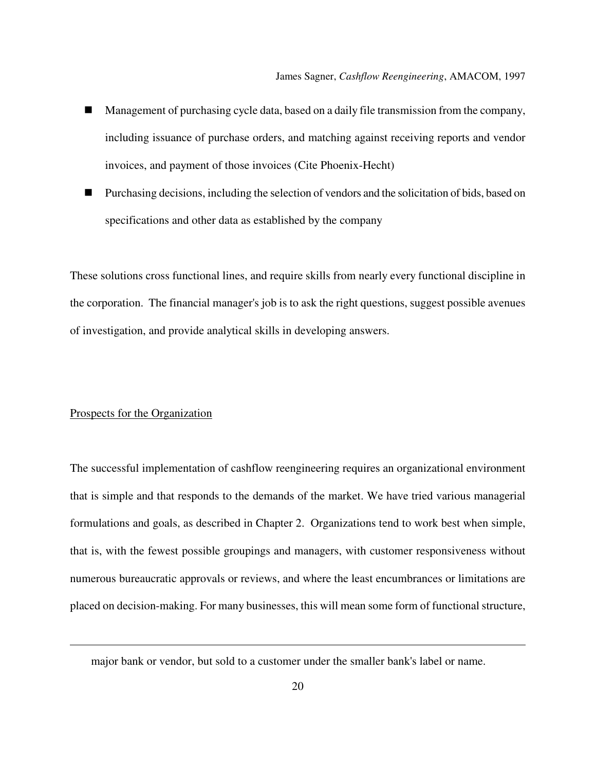- Management of purchasing cycle data, based on a daily file transmission from the company, including issuance of purchase orders, and matching against receiving reports and vendor invoices, and payment of those invoices (Cite Phoenix-Hecht)
- Purchasing decisions, including the selection of vendors and the solicitation of bids, based on specifications and other data as established by the company

These solutions cross functional lines, and require skills from nearly every functional discipline in the corporation. The financial manager's job is to ask the right questions, suggest possible avenues of investigation, and provide analytical skills in developing answers.

#### Prospects for the Organization

l

The successful implementation of cashflow reengineering requires an organizational environment that is simple and that responds to the demands of the market. We have tried various managerial formulations and goals, as described in Chapter 2. Organizations tend to work best when simple, that is, with the fewest possible groupings and managers, with customer responsiveness without numerous bureaucratic approvals or reviews, and where the least encumbrances or limitations are placed on decision-making. For many businesses, this will mean some form of functional structure,

major bank or vendor, but sold to a customer under the smaller bank's label or name.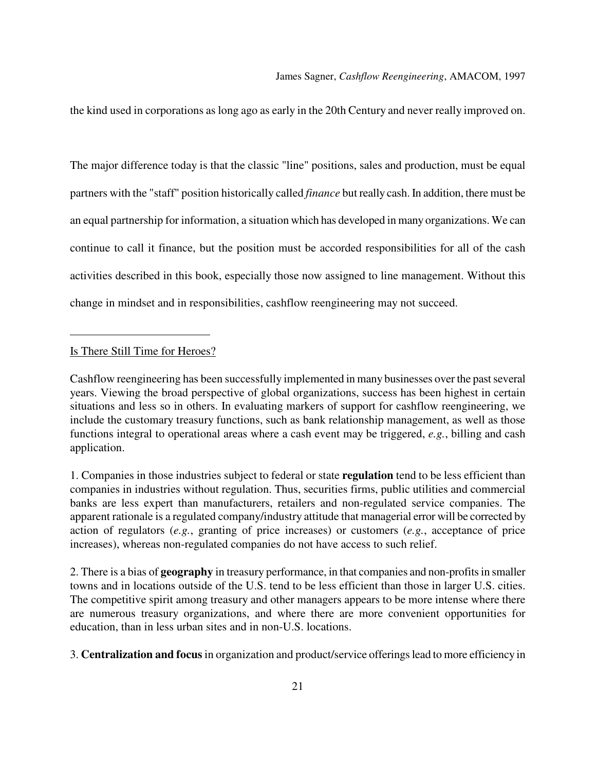the kind used in corporations as long ago as early in the 20th Century and never really improved on.

The major difference today is that the classic "line" positions, sales and production, must be equal partners with the "staff" position historically called *finance* but really cash. In addition, there must be an equal partnership for information, a situation which has developed in many organizations. We can continue to call it finance, but the position must be accorded responsibilities for all of the cash activities described in this book, especially those now assigned to line management. Without this change in mindset and in responsibilities, cashflow reengineering may not succeed.

#### Is There Still Time for Heroes?

l

Cashflow reengineering has been successfully implemented in many businesses over the past several years. Viewing the broad perspective of global organizations, success has been highest in certain situations and less so in others. In evaluating markers of support for cashflow reengineering, we include the customary treasury functions, such as bank relationship management, as well as those functions integral to operational areas where a cash event may be triggered, *e.g.*, billing and cash application.

1. Companies in those industries subject to federal or state **regulation** tend to be less efficient than companies in industries without regulation. Thus, securities firms, public utilities and commercial banks are less expert than manufacturers, retailers and non-regulated service companies. The apparent rationale is a regulated company/industry attitude that managerial error will be corrected by action of regulators (*e.g.*, granting of price increases) or customers (*e.g.*, acceptance of price increases), whereas non-regulated companies do not have access to such relief.

2. There is a bias of **geography** in treasury performance, in that companies and non-profits in smaller towns and in locations outside of the U.S. tend to be less efficient than those in larger U.S. cities. The competitive spirit among treasury and other managers appears to be more intense where there are numerous treasury organizations, and where there are more convenient opportunities for education, than in less urban sites and in non-U.S. locations.

3. **Centralization and focus** in organization and product/service offerings lead to more efficiency in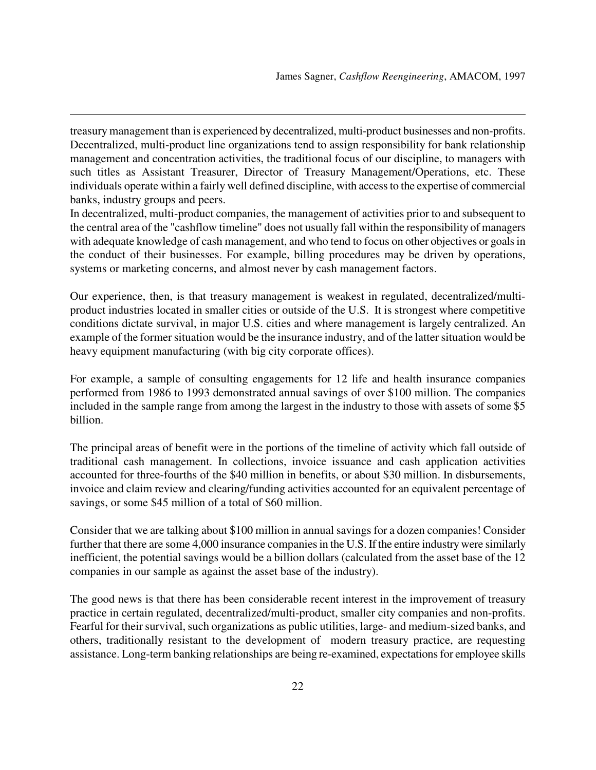treasury management than is experienced by decentralized, multi-product businesses and non-profits. Decentralized, multi-product line organizations tend to assign responsibility for bank relationship management and concentration activities, the traditional focus of our discipline, to managers with such titles as Assistant Treasurer, Director of Treasury Management/Operations, etc. These individuals operate within a fairly well defined discipline, with access to the expertise of commercial banks, industry groups and peers.

l

In decentralized, multi-product companies, the management of activities prior to and subsequent to the central area of the "cashflow timeline" does not usually fall within the responsibility of managers with adequate knowledge of cash management, and who tend to focus on other objectives or goals in the conduct of their businesses. For example, billing procedures may be driven by operations, systems or marketing concerns, and almost never by cash management factors.

Our experience, then, is that treasury management is weakest in regulated, decentralized/multiproduct industries located in smaller cities or outside of the U.S. It is strongest where competitive conditions dictate survival, in major U.S. cities and where management is largely centralized. An example of the former situation would be the insurance industry, and of the latter situation would be heavy equipment manufacturing (with big city corporate offices).

For example, a sample of consulting engagements for 12 life and health insurance companies performed from 1986 to 1993 demonstrated annual savings of over \$100 million. The companies included in the sample range from among the largest in the industry to those with assets of some \$5 billion.

The principal areas of benefit were in the portions of the timeline of activity which fall outside of traditional cash management. In collections, invoice issuance and cash application activities accounted for three-fourths of the \$40 million in benefits, or about \$30 million. In disbursements, invoice and claim review and clearing/funding activities accounted for an equivalent percentage of savings, or some \$45 million of a total of \$60 million.

Consider that we are talking about \$100 million in annual savings for a dozen companies! Consider further that there are some 4,000 insurance companies in the U.S. If the entire industry were similarly inefficient, the potential savings would be a billion dollars (calculated from the asset base of the 12 companies in our sample as against the asset base of the industry).

The good news is that there has been considerable recent interest in the improvement of treasury practice in certain regulated, decentralized/multi-product, smaller city companies and non-profits. Fearful for their survival, such organizations as public utilities, large- and medium-sized banks, and others, traditionally resistant to the development of modern treasury practice, are requesting assistance. Long-term banking relationships are being re-examined, expectations for employee skills